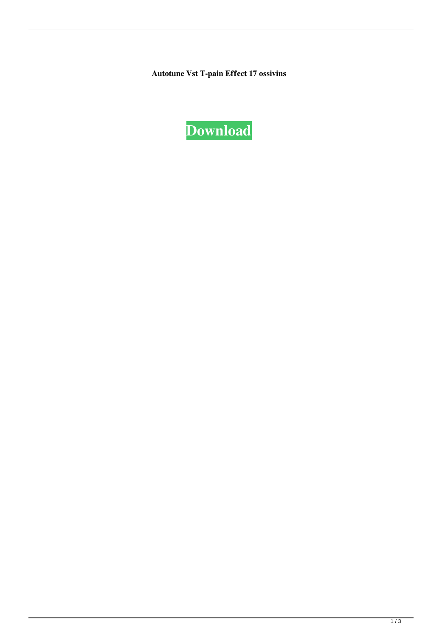**Autotune Vst T-pain Effect 17 ossivins** 

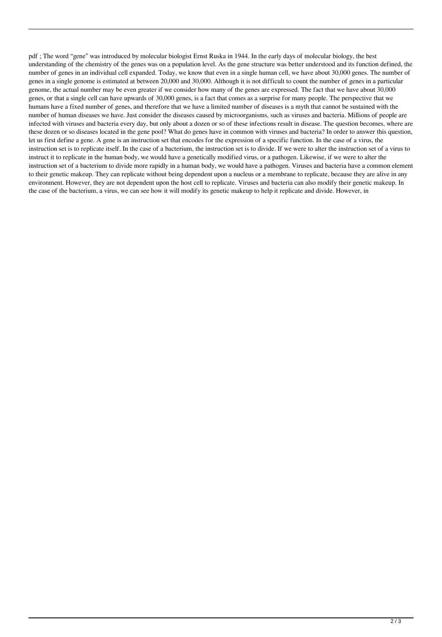pdf ; The word "gene" was introduced by molecular biologist Ernst Ruska in 1944. In the early days of molecular biology, the best understanding of the chemistry of the genes was on a population level. As the gene structure was better understood and its function defined, the number of genes in an individual cell expanded. Today, we know that even in a single human cell, we have about 30,000 genes. The number of genes in a single genome is estimated at between 20,000 and 30,000. Although it is not difficult to count the number of genes in a particular genome, the actual number may be even greater if we consider how many of the genes are expressed. The fact that we have about 30,000 genes, or that a single cell can have upwards of 30,000 genes, is a fact that comes as a surprise for many people. The perspective that we humans have a fixed number of genes, and therefore that we have a limited number of diseases is a myth that cannot be sustained with the number of human diseases we have. Just consider the diseases caused by microorganisms, such as viruses and bacteria. Millions of people are infected with viruses and bacteria every day, but only about a dozen or so of these infections result in disease. The question becomes, where are these dozen or so diseases located in the gene pool? What do genes have in common with viruses and bacteria? In order to answer this question, let us first define a gene. A gene is an instruction set that encodes for the expression of a specific function. In the case of a virus, the instruction set is to replicate itself. In the case of a bacterium, the instruction set is to divide. If we were to alter the instruction set of a virus to instruct it to replicate in the human body, we would have a genetically modified virus, or a pathogen. Likewise, if we were to alter the instruction set of a bacterium to divide more rapidly in a human body, we would have a pathogen. Viruses and bacteria have a common element to their genetic makeup. They can replicate without being dependent upon a nucleus or a membrane to replicate, because they are alive in any environment. However, they are not dependent upon the host cell to replicate. Viruses and bacteria can also modify their genetic makeup. In the case of the bacterium, a virus, we can see how it will modify its genetic makeup to help it replicate and divide. However, in